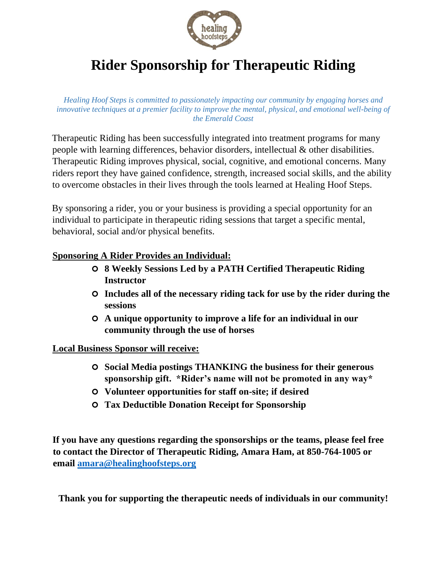

# **Rider Sponsorship for Therapeutic Riding**

*Healing Hoof Steps is committed to passionately impacting our community by engaging horses and innovative techniques at a premier facility to improve the mental, physical, and emotional well-being of the Emerald Coast*

Therapeutic Riding has been successfully integrated into treatment programs for many people with learning differences, behavior disorders, intellectual & other disabilities. Therapeutic Riding improves physical, social, cognitive, and emotional concerns. Many riders report they have gained confidence, strength, increased social skills, and the ability to overcome obstacles in their lives through the tools learned at Healing Hoof Steps.

By sponsoring a rider, you or your business is providing a special opportunity for an individual to participate in therapeutic riding sessions that target a specific mental, behavioral, social and/or physical benefits.

### **Sponsoring A Rider Provides an Individual:**

- **8 Weekly Sessions Led by a PATH Certified Therapeutic Riding Instructor**
- **Includes all of the necessary riding tack for use by the rider during the sessions**
- **A unique opportunity to improve a life for an individual in our community through the use of horses**

#### **Local Business Sponsor will receive:**

- **Social Media postings THANKING the business for their generous sponsorship gift. \*Rider's name will not be promoted in any way\***
- **Volunteer opportunities for staff on-site; if desired**
- **Tax Deductible Donation Receipt for Sponsorship**

**If you have any questions regarding the sponsorships or the teams, please feel free to contact the Director of Therapeutic Riding, Amara Ham, at 850-764-1005 or email amara@healinghoofsteps.org** 

**Thank you for supporting the therapeutic needs of individuals in our community!**